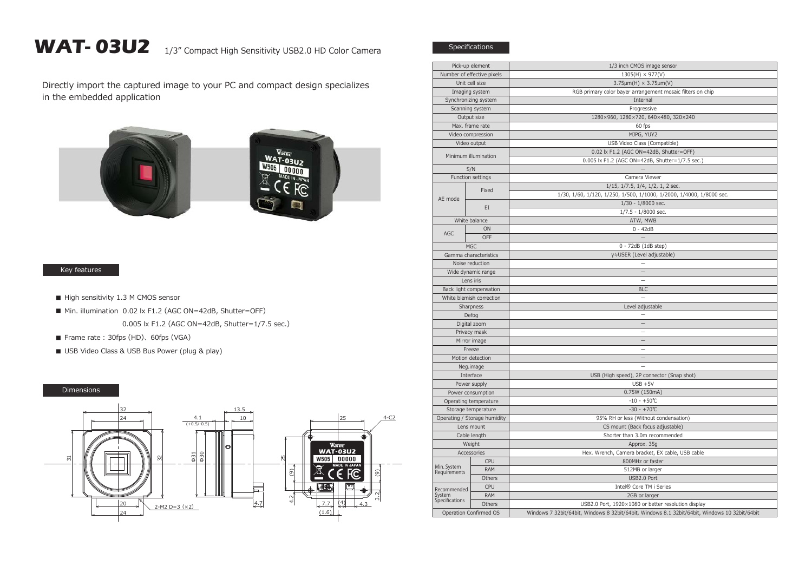## WAT- 03U2 1/3" Compact High Sensitivity USB2.0 HD Color Camera

Directly import the captured image to your PC and compact design specializes in the embedded application



## Key features

- High sensitivity 1.3 M CMOS sensor
- Min. illumination 0.02 lx F1.2 (AGC ON=42dB, Shutter=OFF) 0.005 lx F1.2 (AGC ON=42dB, Shutter=1/7.5 sec.)
- Frame rate: 30fps (HD)、60fps (VGA)
- USB Video Class & USB Bus Power (plug & play)

## Dimensions



| Pick-up element                         |               | 1/3 inch CMOS image sensor                                                                    |
|-----------------------------------------|---------------|-----------------------------------------------------------------------------------------------|
| Number of effective pixels              |               | $1305(H) \times 977(V)$                                                                       |
| Unit cell size                          |               | $3.75 \mu m(H) \times 3.75 \mu m(V)$                                                          |
| Imaging system                          |               | RGB primary color bayer arrangement mosaic filters on chip                                    |
| Synchronizing system                    |               | Internal                                                                                      |
| Scanning system                         |               | Progressive                                                                                   |
| Output size                             |               | 1280×960, 1280×720, 640×480, 320×240                                                          |
| Max. frame rate                         |               | 60 fps                                                                                        |
| Video compression                       |               | MJPG, YUY2                                                                                    |
| Video output                            |               | USB Video Class (Compatible)                                                                  |
| Minimum illumination                    |               | 0.02 lx F1.2 (AGC ON=42dB, Shutter=OFF)                                                       |
|                                         |               | 0.005 lx F1.2 (AGC ON=42dB, Shutter=1/7.5 sec.)                                               |
| S/N                                     |               |                                                                                               |
| Function settings                       |               | Camera Viewer                                                                                 |
| AE mode                                 | Fixed<br>EI   | 1/15, 1/7.5, 1/4, 1/2, 1, 2 sec.                                                              |
|                                         |               | 1/30, 1/60, 1/120, 1/250, 1/500, 1/1000, 1/2000, 1/4000, 1/8000 sec.                          |
|                                         |               | 1/30 - 1/8000 sec.                                                                            |
|                                         |               | $1/7.5 - 1/8000$ sec.                                                                         |
| White balance                           |               | ATW, MWB                                                                                      |
|                                         | ON            | $0 - 42dB$                                                                                    |
| AGC                                     | OFF           |                                                                                               |
|                                         | <b>MGC</b>    | 0 - 72dB (1dB step)                                                                           |
| Gamma characteristics                   |               | γ≒USER (Level adjustable)                                                                     |
| Noise reduction                         |               |                                                                                               |
| Wide dynamic range                      |               | $\qquad \qquad -$                                                                             |
| Lens iris                               |               |                                                                                               |
| Back light compensation                 |               | <b>BLC</b>                                                                                    |
| White blemish correction                |               |                                                                                               |
| Sharpness                               |               | Level adjustable                                                                              |
| Defog                                   |               |                                                                                               |
| Digital zoom                            |               | $\overline{\phantom{0}}$                                                                      |
| Privacy mask                            |               |                                                                                               |
| Mirror image                            |               |                                                                                               |
| Freeze                                  |               | $\equiv$                                                                                      |
| Motion detection                        |               |                                                                                               |
| Neg.image                               |               |                                                                                               |
| Interface                               |               | USB (High speed), 2P connector (Snap shot)                                                    |
| Power supply                            |               | $USB + 5V$                                                                                    |
| Power consumption                       |               | 0.75W (150mA)                                                                                 |
| Operating temperature                   |               | $-10 - +50$ °C                                                                                |
| Storage temperature                     |               | $-30 - +70$ °C                                                                                |
| Operating / Storage humidity            |               | 95% RH or less (Without condensation)                                                         |
| Lens mount                              |               | CS mount (Back focus adjustable)                                                              |
| Cable length                            |               | Shorter than 3.0m recommended                                                                 |
| Weight                                  |               | Approx. 35g                                                                                   |
| Accessories                             |               | Hex. Wrench, Camera bracket, EX cable, USB cable                                              |
|                                         | <b>CPU</b>    | 800MHz or faster                                                                              |
| Min. System                             | <b>RAM</b>    | 512MB or larger                                                                               |
| Requirements                            | Others        | USB2.0 Port                                                                                   |
| Recommended<br>System<br>Specifications | <b>CPU</b>    | Intel <sup>®</sup> Core TM i Series                                                           |
|                                         |               |                                                                                               |
|                                         | RAM<br>Others | 2GB or larger                                                                                 |
|                                         |               | USB2.0 Port, 1920×1080 or better resolution display                                           |
| Operation Confirmed OS                  |               | Windows 7 32bit/64bit, Windows 8 32bit/64bit, Windows 8.1 32bit/64bit, Windows 10 32bit/64bit |

Specifications